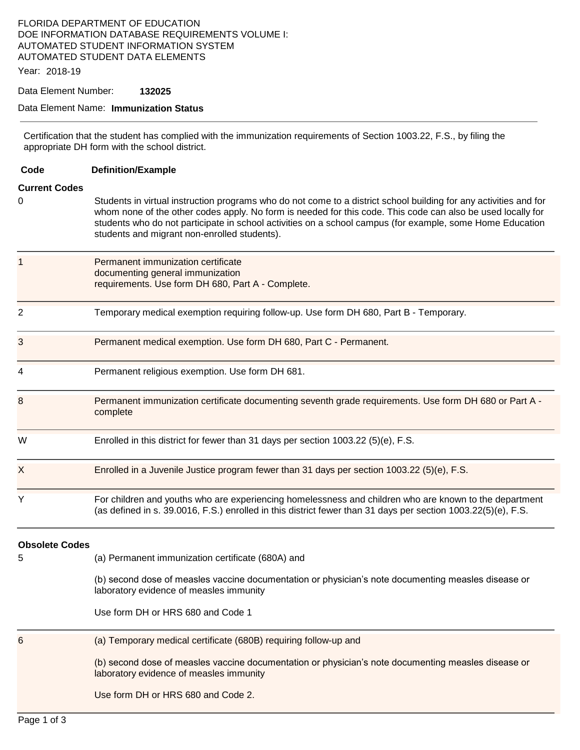# FLORIDA DEPARTMENT OF EDUCATION DOE INFORMATION DATABASE REQUIREMENTS VOLUME I: AUTOMATED STUDENT INFORMATION SYSTEM AUTOMATED STUDENT DATA ELEMENTS

Year: 2018-19

Data Element Number: **132025** 

#### Data Element Name: **Immunization Status**

Certification that the student has complied with the immunization requirements of Section 1003.22, F.S., by filing the appropriate DH form with the school district.

**Code Definition/Example** 

#### **Current Codes**

- 0 Students in virtual instruction programs who do not come to a district school building for any activities and for whom none of the other codes apply. No form is needed for this code. This code can also be used locally for students who do not participate in school activities on a school campus (for example, some Home Education students and migrant non-enrolled students).
- Permanent immunization certificate documenting general immunization requirements. Use form DH 680, Part A - Complete. 2 Temporary medical exemption requiring follow-up. Use form DH 680, Part B - Temporary. 3 Permanent medical exemption. Use form DH 680, Part C - Permanent. 4 Permanent religious exemption. Use form DH 681.
	- 8 Permanent immunization certificate documenting seventh grade requirements. Use form DH 680 or Part A complete
	- W Enrolled in this district for fewer than 31 days per section 1003.22 (5)(e), F.S.
	- X Enrolled in a Juvenile Justice program fewer than 31 days per section 1003.22 (5)(e), F.S.
	- For children and youths who are experiencing homelessness and children who are known to the department (as defined in s. 39.0016, F.S.) enrolled in this district fewer than 31 days per section 1003.22(5)(e), F.S.

#### **Obsolete Codes**

- 5 (a) Permanent immunization certificate (680A) and
	- (b) second dose of measles vaccine documentation or physician's note documenting measles disease or laboratory evidence of measles immunity

Use form DH or HRS 680 and Code 1

6 (a) Temporary medical certificate (680B) requiring follow-up and

(b) second dose of measles vaccine documentation or physician's note documenting measles disease or laboratory evidence of measles immunity

Use form DH or HRS 680 and Code 2.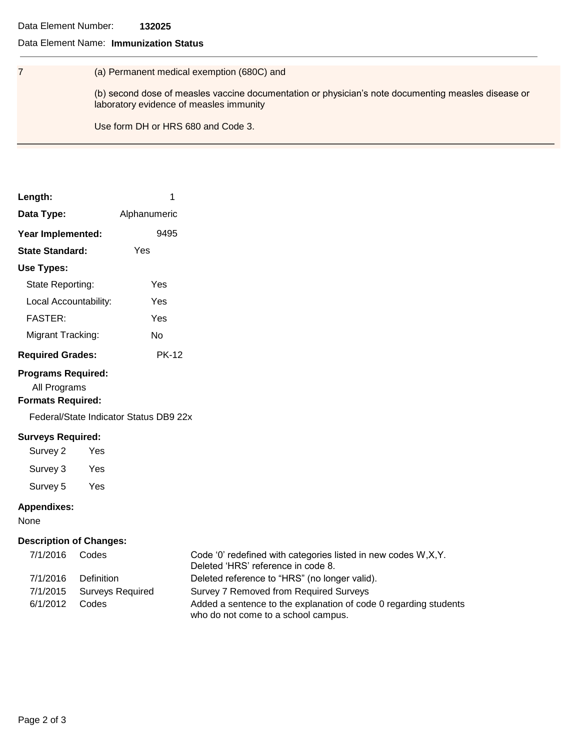#### Data Element Number: **132025**

#### Data Element Name: **Immunization Status**

#### 7 (a) Permanent medical exemption (680C) and

(b) second dose of measles vaccine documentation or physician's note documenting measles disease or laboratory evidence of measles immunity

Use form DH or HRS 680 and Code 3.

| Length:                 | 1            |
|-------------------------|--------------|
| Data Type:              | Alphanumeric |
| Year Implemented:       | 9495         |
| Yes<br>State Standard:  |              |
| Use Types:              |              |
| State Reporting:        | Yes          |
| Local Accountability:   | Yes          |
| <b>FASTER:</b>          | Yes          |
| Migrant Tracking:       | N٥           |
| <b>Required Grades:</b> | PK-12        |

# **Programs Required:**

All Programs

**Formats Required:** 

Federal/State Indicator Status DB9 22x

#### **Surveys Required:**

| Survey 2 | Yes |
|----------|-----|
| Survey 3 | Yes |
| Survey 5 | Yes |

### **Appendixes:**

None

#### **Description of Changes:**

| 7/1/2016 | Codes                   | Code '0' redefined with categories listed in new codes W, X, Y.                                         |
|----------|-------------------------|---------------------------------------------------------------------------------------------------------|
|          |                         | Deleted 'HRS' reference in code 8.                                                                      |
| 7/1/2016 | Definition              | Deleted reference to "HRS" (no longer valid).                                                           |
| 7/1/2015 | <b>Surveys Required</b> | Survey 7 Removed from Required Surveys                                                                  |
| 6/1/2012 | Codes                   | Added a sentence to the explanation of code 0 regarding students<br>who do not come to a school campus. |